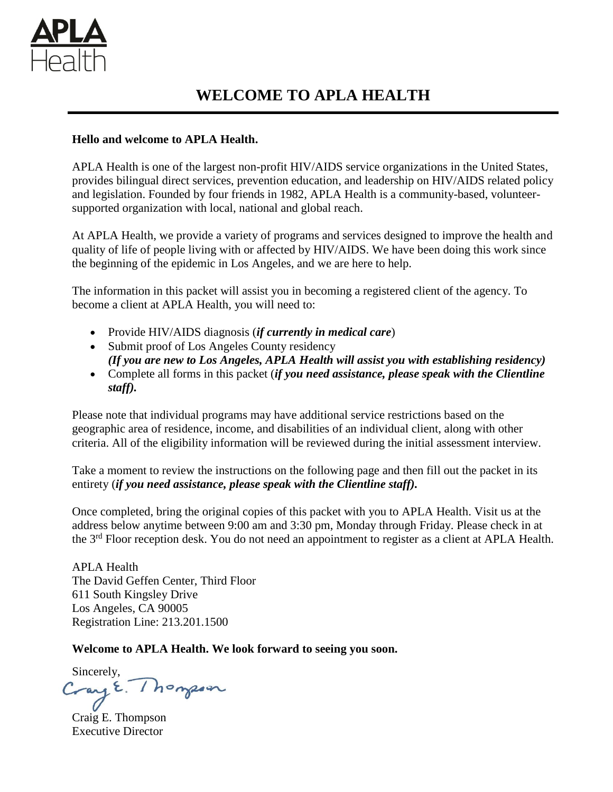

## **Hello and welcome to APLA Health.**

APLA Health is one of the largest non-profit HIV/AIDS service organizations in the United States, provides bilingual direct services, prevention education, and leadership on HIV/AIDS related policy and legislation. Founded by four friends in 1982, APLA Health is a community-based, volunteersupported organization with local, national and global reach.

At APLA Health, we provide a variety of programs and services designed to improve the health and quality of life of people living with or affected by HIV/AIDS. We have been doing this work since the beginning of the epidemic in Los Angeles, and we are here to help.

The information in this packet will assist you in becoming a registered client of the agency. To become a client at APLA Health, you will need to:

- Provide HIV/AIDS diagnosis (*if currently in medical care*)
- Submit proof of Los Angeles County residency *(If you are new to Los Angeles, APLA Health will assist you with establishing residency)*
- Complete all forms in this packet (*if you need assistance, please speak with the Clientline staff).*

Please note that individual programs may have additional service restrictions based on the geographic area of residence, income, and disabilities of an individual client, along with other criteria. All of the eligibility information will be reviewed during the initial assessment interview.

Take a moment to review the instructions on the following page and then fill out the packet in its entirety (*if you need assistance, please speak with the Clientline staff).*

Once completed, bring the original copies of this packet with you to APLA Health. Visit us at the address below anytime between 9:00 am and 3:30 pm, Monday through Friday. Please check in at the 3<sup>rd</sup> Floor reception desk. You do not need an appointment to register as a client at APLA Health.

APLA Health The David Geffen Center, Third Floor 611 South Kingsley Drive Los Angeles, CA 90005 Registration Line: 213.201.1500

**Welcome to APLA Health. We look forward to seeing you soon.** 

Sincerely,<br>Cray E. Thompson

Craig E. Thompson Executive Director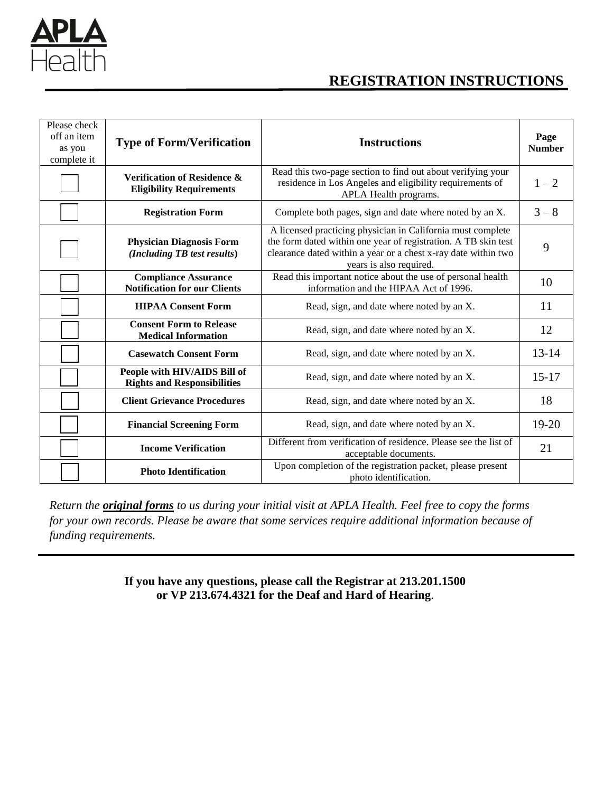

# **REGISTRATION INSTRUCTIONS**

| Please check<br>off an item<br>as you<br>complete it | <b>Type of Form/Verification</b>                                   | <b>Instructions</b>                                                                                                                                                                                                        | Page<br><b>Number</b> |
|------------------------------------------------------|--------------------------------------------------------------------|----------------------------------------------------------------------------------------------------------------------------------------------------------------------------------------------------------------------------|-----------------------|
|                                                      | Verification of Residence &<br><b>Eligibility Requirements</b>     | Read this two-page section to find out about verifying your<br>residence in Los Angeles and eligibility requirements of<br>APLA Health programs.                                                                           | $1 - 2$               |
|                                                      | <b>Registration Form</b>                                           | Complete both pages, sign and date where noted by an X.                                                                                                                                                                    | $3 - 8$               |
|                                                      | <b>Physician Diagnosis Form</b><br>(Including TB test results)     | A licensed practicing physician in California must complete<br>the form dated within one year of registration. A TB skin test<br>clearance dated within a year or a chest x-ray date within two<br>years is also required. | 9                     |
|                                                      | <b>Compliance Assurance</b><br><b>Notification for our Clients</b> | Read this important notice about the use of personal health<br>information and the HIPAA Act of 1996.                                                                                                                      | 10                    |
|                                                      | <b>HIPAA Consent Form</b>                                          | Read, sign, and date where noted by an X.                                                                                                                                                                                  | 11                    |
|                                                      | <b>Consent Form to Release</b><br><b>Medical Information</b>       | Read, sign, and date where noted by an X.                                                                                                                                                                                  | 12                    |
|                                                      | <b>Casewatch Consent Form</b>                                      | Read, sign, and date where noted by an X.                                                                                                                                                                                  | $13 - 14$             |
|                                                      | People with HIV/AIDS Bill of<br><b>Rights and Responsibilities</b> | Read, sign, and date where noted by an X.                                                                                                                                                                                  | $15 - 17$             |
|                                                      | <b>Client Grievance Procedures</b>                                 | Read, sign, and date where noted by an X.                                                                                                                                                                                  | 18                    |
|                                                      | <b>Financial Screening Form</b>                                    | Read, sign, and date where noted by an X.                                                                                                                                                                                  | $19-20$               |
|                                                      | <b>Income Verification</b>                                         | Different from verification of residence. Please see the list of<br>acceptable documents.                                                                                                                                  |                       |
|                                                      | <b>Photo Identification</b>                                        | Upon completion of the registration packet, please present<br>photo identification.                                                                                                                                        |                       |

*Return the original forms to us during your initial visit at APLA Health. Feel free to copy the forms for your own records. Please be aware that some services require additional information because of funding requirements.* 

> **If you have any questions, please call the Registrar at 213.201.1500 or VP 213.674.4321 for the Deaf and Hard of Hearing**.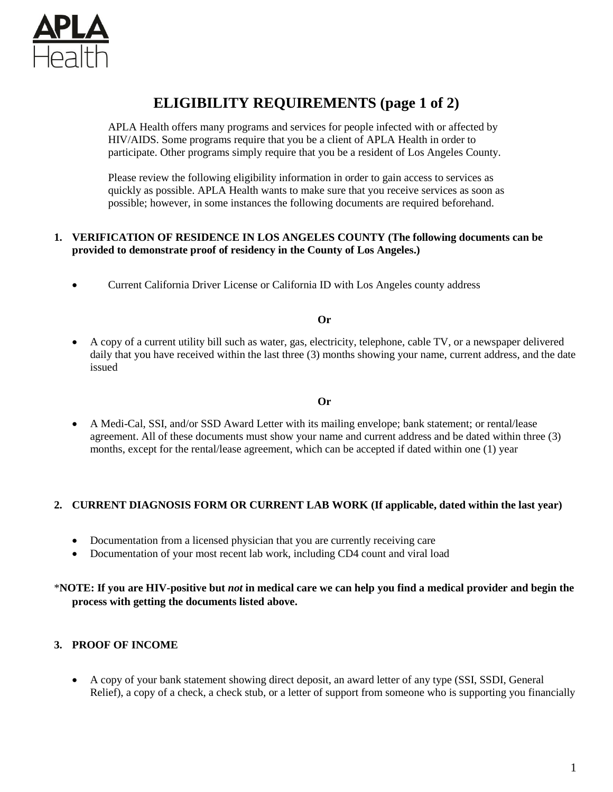

# **ELIGIBILITY REQUIREMENTS (page 1 of 2)**

APLA Health offers many programs and services for people infected with or affected by HIV/AIDS. Some programs require that you be a client of APLA Health in order to participate. Other programs simply require that you be a resident of Los Angeles County.

Please review the following eligibility information in order to gain access to services as quickly as possible. APLA Health wants to make sure that you receive services as soon as possible; however, in some instances the following documents are required beforehand.

### **1. VERIFICATION OF RESIDENCE IN LOS ANGELES COUNTY (The following documents can be provided to demonstrate proof of residency in the County of Los Angeles.)**

Current California Driver License or California ID with Los Angeles county address

#### **Or**

 A copy of a current utility bill such as water, gas, electricity, telephone, cable TV, or a newspaper delivered daily that you have received within the last three (3) months showing your name, current address, and the date issued

#### **Or**

 A Medi-Cal, SSI, and/or SSD Award Letter with its mailing envelope; bank statement; or rental/lease agreement. All of these documents must show your name and current address and be dated within three (3) months, except for the rental/lease agreement, which can be accepted if dated within one (1) year

#### **2. CURRENT DIAGNOSIS FORM OR CURRENT LAB WORK (If applicable, dated within the last year)**

- Documentation from a licensed physician that you are currently receiving care
- Documentation of your most recent lab work, including CD4 count and viral load

### \***NOTE: If you are HIV-positive but** *not* **in medical care we can help you find a medical provider and begin the process with getting the documents listed above.**

#### **3. PROOF OF INCOME**

 A copy of your bank statement showing direct deposit, an award letter of any type (SSI, SSDI, General Relief), a copy of a check, a check stub, or a letter of support from someone who is supporting you financially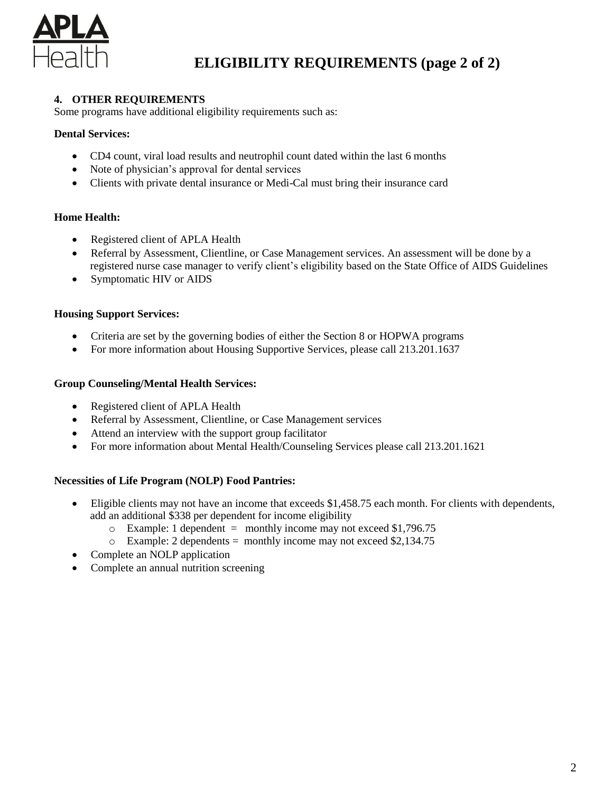

# **ELIGIBILITY REQUIREMENTS (page 2 of 2)**

## **4. OTHER REQUIREMENTS**

Some programs have additional eligibility requirements such as:

### **Dental Services:**

- CD4 count, viral load results and neutrophil count dated within the last 6 months
- Note of physician's approval for dental services
- Clients with private dental insurance or Medi-Cal must bring their insurance card

### **Home Health:**

- Registered client of APLA Health
- Referral by Assessment, Clientline, or Case Management services. An assessment will be done by a registered nurse case manager to verify client's eligibility based on the State Office of AIDS Guidelines
- Symptomatic HIV or AIDS

### **Housing Support Services:**

- Criteria are set by the governing bodies of either the Section 8 or HOPWA programs
- For more information about Housing Supportive Services, please call 213.201.1637

#### **Group Counseling/Mental Health Services:**

- Registered client of APLA Health
- Referral by Assessment, Clientline, or Case Management services
- Attend an interview with the support group facilitator
- For more information about Mental Health/Counseling Services please call 213.201.1621

#### **Necessities of Life Program (NOLP) Food Pantries:**

- Eligible clients may not have an income that exceeds \$1,458.75 each month. For clients with dependents, add an additional \$338 per dependent for income eligibility
	- $\circ$  Example: 1 dependent = monthly income may not exceed \$1,796.75
	- $\circ$  Example: 2 dependents = monthly income may not exceed \$2,134.75
- Complete an NOLP application
- Complete an annual nutrition screening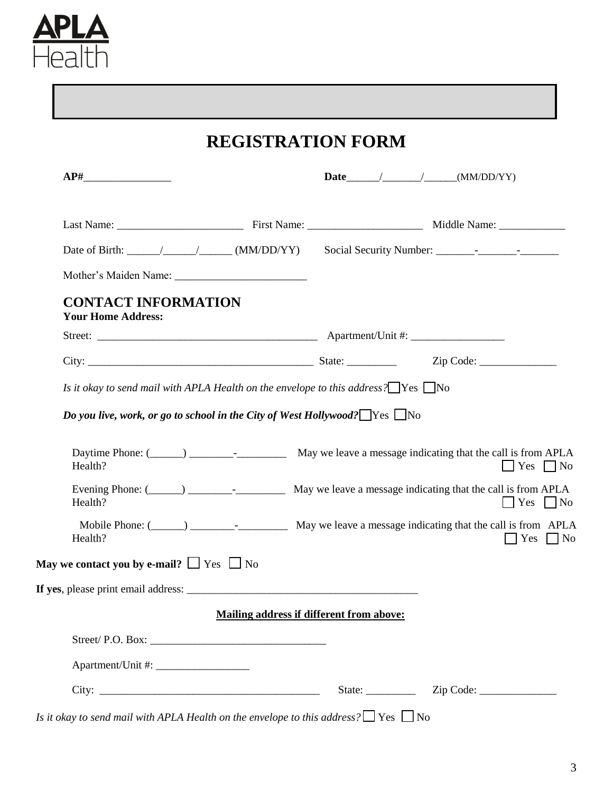

# **REGISTRATION FORM**

| <b>CONTACT INFORMATION</b><br><b>Your Home Address:</b>                                                                |                                                               |
|------------------------------------------------------------------------------------------------------------------------|---------------------------------------------------------------|
|                                                                                                                        |                                                               |
|                                                                                                                        |                                                               |
| Is it okay to send mail with APLA Health on the envelope to this address? $\Box$ Yes $\Box$ No                         |                                                               |
| Do you live, work, or go to school in the City of West Hollywood? $\Box$ Yes $\Box$ No                                 |                                                               |
| Health?<br>Evening Phone: (______) ______________________ May we leave a message indicating that the call is from APLA |                                                               |
| Health?<br>Health?                                                                                                     |                                                               |
| May we contact you by e-mail? $\Box$ Yes $\Box$ No                                                                     |                                                               |
| If yes, please print email address:                                                                                    |                                                               |
| <b>Mailing address if different from above:</b>                                                                        |                                                               |
|                                                                                                                        |                                                               |
|                                                                                                                        | $\Box$ Yes $\Box$ No<br>$\Box$ Yes $\Box$ No<br>Yes $\Box$ No |

*Is it okay to send mail with APLA Health on the envelope to this address?*  $\Box$  Yes  $\Box$  No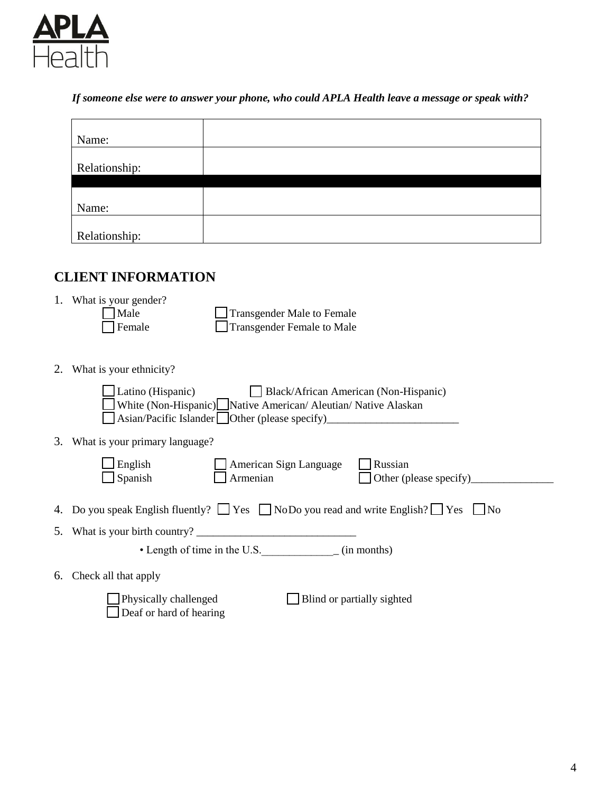

*If someone else were to answer your phone, who could APLA Health leave a message or speak with?*

| Name:         |  |
|---------------|--|
|               |  |
| Relationship: |  |
|               |  |
|               |  |
| Name:         |  |
|               |  |
| Relationship: |  |

## **CLIENT INFORMATION**

- 1. What is your gender?<br> $\Box$  Male Male Transgender Male to Female<br>
Transgender Female to Male Transgender Female to Male
- 2. What is your ethnicity?

| Latino (Hispanic) Black/African American (Non-Hispanic)<br>White (Non-Hispanic) Native American/ Aleutian/ Native Alaskan<br>Asian/Pacific Islander Other (please specify) |
|----------------------------------------------------------------------------------------------------------------------------------------------------------------------------|
| 3. What is your primary language?                                                                                                                                          |
| English<br>Russian<br>American Sign Language<br>Spanish<br>Armenian<br>Other (please specify)                                                                              |
| 4. Do you speak English fluently? $\Box$ Yes $\Box$ NoDo you read and write English? $\Box$ Yes $\Box$ No                                                                  |
| 5. What is your birth country?                                                                                                                                             |
| • Length of time in the U.S. (in months)                                                                                                                                   |
| 6. Check all that apply                                                                                                                                                    |
| Physically challenged<br>Blind or partially sighted<br>Deaf or hard of hearing                                                                                             |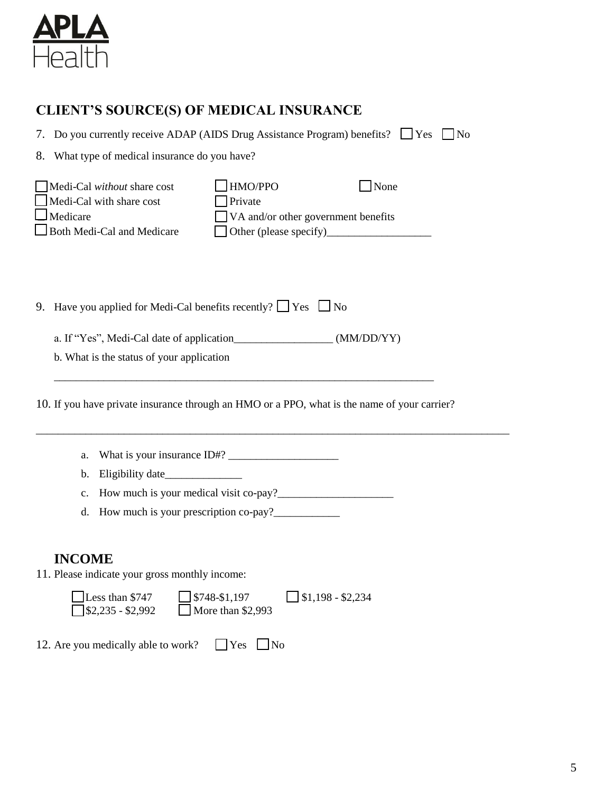

## **CLIENT'S SOURCE(S) OF MEDICAL INSURANCE**

7. Do you currently receive ADAP (AIDS Drug Assistance Program) benefits?  $\Box$  Yes  $\Box$  No

8. What type of medical insurance do you have?

| $\Box$ Medi-Cal <i>without</i> share cost | $\Box$ HMO/PPO                              | None |
|-------------------------------------------|---------------------------------------------|------|
| $\Box$ Medi-Cal with share cost           | $\Box$ Private                              |      |
| $\Box$ Medicare                           | $\Box$ VA and/or other government benefits  |      |
| Both Medi-Cal and Medicare                | $\Box$ Other (please specify) $\_\_\_\_\_\$ |      |

9. Have you applied for Medi-Cal benefits recently?  $\Box$  Yes  $\Box$  No

a. If "Yes", Medi-Cal date of application\_\_\_\_\_\_\_\_\_\_\_\_\_\_\_\_\_\_ (MM/DD/YY)

b. What is the status of your application

10. If you have private insurance through an HMO or a PPO, what is the name of your carrier?

\_\_\_\_\_\_\_\_\_\_\_\_\_\_\_\_\_\_\_\_\_\_\_\_\_\_\_\_\_\_\_\_\_\_\_\_\_\_\_\_\_\_\_\_\_\_\_\_\_\_\_\_\_\_\_\_\_\_\_\_\_\_\_\_\_\_\_\_\_\_\_\_\_\_\_\_\_\_\_\_\_\_\_\_\_\_

\_\_\_\_\_\_\_\_\_\_\_\_\_\_\_\_\_\_\_\_\_\_\_\_\_\_\_\_\_\_\_\_\_\_\_\_\_\_\_\_\_\_\_\_\_\_\_\_\_\_\_\_\_\_\_\_\_\_\_\_\_\_\_\_\_\_\_\_\_

- a. What is your insurance  $ID#?$
- b. Eligibility date
- c. How much is your medical visit co-pay? $\frac{2}{\sqrt{2}}$
- d. How much is your prescription co-pay?\_\_\_\_\_\_\_\_\_\_\_\_

## **INCOME**

11. Please indicate your gross monthly income:

| $\Box$ Less than \$747    | $\Box$ \$748-\$1,197     | $\Box$ \$1,198 - \$2,234 |
|---------------------------|--------------------------|--------------------------|
| $\sqrt{$}32,235 - $2,992$ | $\Box$ More than \$2,993 |                          |

12. Are you medically able to work?  $\Box$  Yes  $\Box$  No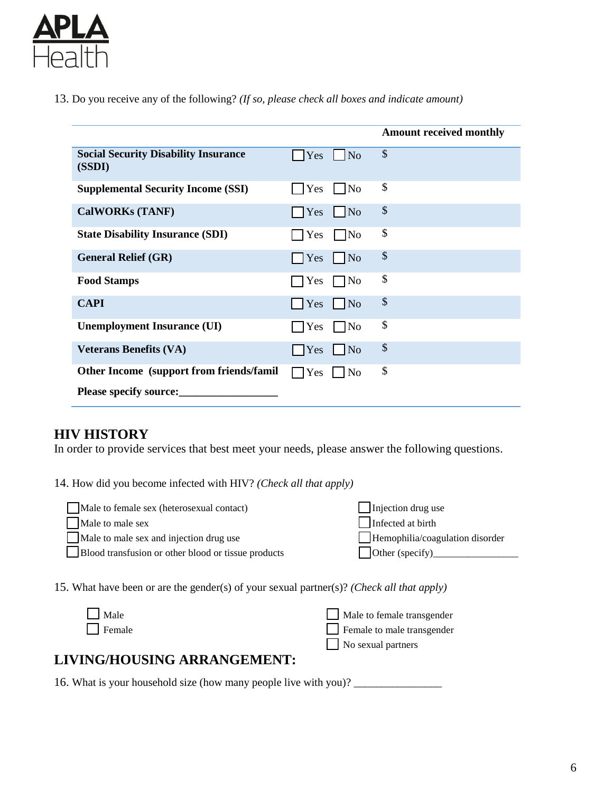

13. Do you receive any of the following? *(If so, please check all boxes and indicate amount)*

|                                                       |                                  | <b>Amount received monthly</b> |
|-------------------------------------------------------|----------------------------------|--------------------------------|
| <b>Social Security Disability Insurance</b><br>(SSDI) | $\vert$ No<br>$\Box$ Yes         | \$                             |
| <b>Supplemental Security Income (SSI)</b>             | $\vert$ $\vert$ No<br><b>Yes</b> | \$                             |
| <b>CalWORKs (TANF)</b>                                | $\vert$ No<br>Yes                | \$                             |
| <b>State Disability Insurance (SDI)</b>               | $\Box$ No<br>Yes                 | \$                             |
| <b>General Relief (GR)</b>                            | Yes<br>$\vert$ No                | \$                             |
| <b>Food Stamps</b>                                    | $\Box$ No<br>Yes                 | \$                             |
| <b>CAPI</b>                                           | $Yes$ No                         | \$                             |
| <b>Unemployment Insurance (UI)</b>                    | $\Box$ No<br>Yes                 | \$                             |
| <b>Veterans Benefits (VA)</b>                         | $Yes \tNo$                       | \$                             |
| Other Income (support from friends/famil              | $\Box$ Yes<br>$\vert$ No         | \$                             |
| <b>Please specify source:</b>                         |                                  |                                |

## **HIV HISTORY**

In order to provide services that best meet your needs, please answer the following questions.

14. How did you become infected with HIV? *(Check all that apply)*

| Male to female sex (heterosexual contact)           | Injection drug use                     |
|-----------------------------------------------------|----------------------------------------|
| Male to male sex                                    | Infected at birth                      |
| Male to male sex and injection drug use             | $\Box$ Hemophilia/coagulation disorder |
| Blood transfusion or other blood or tissue products | $\Box$ Other (specify)                 |

15. What have been or are the gender(s) of your sexual partner(s)? *(Check all that apply)*

| $\Box$ Male   | Male to female transgender |
|---------------|----------------------------|
| $\Box$ Female | Female to male transgender |
|               | $\Box$ No sexual partners  |

## **LIVING/HOUSING ARRANGEMENT:**

16. What is your household size (how many people live with you)? \_\_\_\_\_\_\_\_\_\_\_\_\_\_\_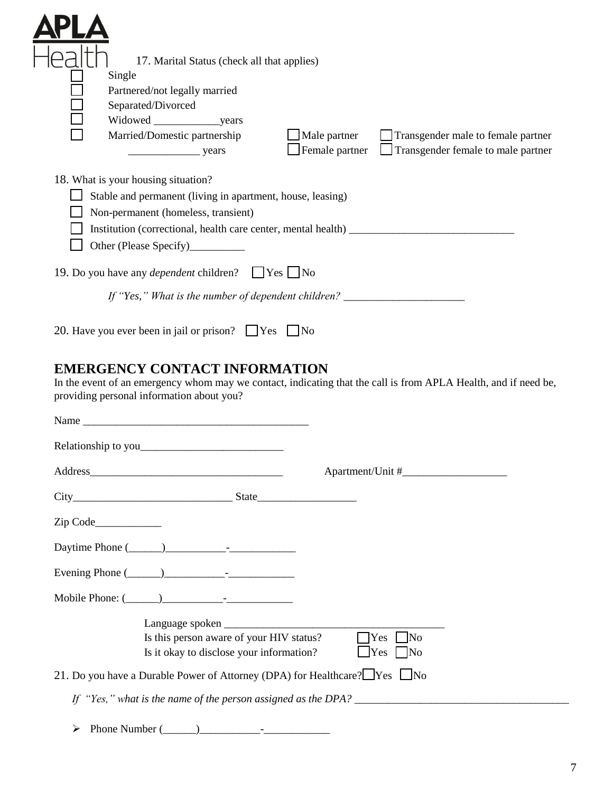| 17. Marital Status (check all that applies)                                                                                                                                                                                   |                                    |
|-------------------------------------------------------------------------------------------------------------------------------------------------------------------------------------------------------------------------------|------------------------------------|
| Single                                                                                                                                                                                                                        |                                    |
| Partnered/not legally married                                                                                                                                                                                                 |                                    |
| Separated/Divorced                                                                                                                                                                                                            |                                    |
| Widowed years                                                                                                                                                                                                                 |                                    |
| Married/Domestic partnership<br>Male partner                                                                                                                                                                                  | Transgender male to female partner |
| $\blacksquare$ Female partner<br><b>Example 18</b> Years                                                                                                                                                                      | Transgender female to male partner |
| 18. What is your housing situation?<br>Stable and permanent (living in apartment, house, leasing)<br>Non-permanent (homeless, transient)<br>Institution (correctional, health care center, mental health) ___________________ |                                    |
| 19. Do you have any <i>dependent</i> children? <u>Sexteen</u> No                                                                                                                                                              |                                    |
| If "Yes," What is the number of dependent children? ____________________________<br>20. Have you ever been in jail or prison?<br>$\Box$ Yes<br>INo                                                                            |                                    |

## **EMERGENCY CONTACT INFORMATION**

In the event of an emergency whom may we contact, indicating that the call is from APLA Health, and if need be, providing personal information about you?

| $City$ State                                                                           |                                                                                      |                                                                      |  |
|----------------------------------------------------------------------------------------|--------------------------------------------------------------------------------------|----------------------------------------------------------------------|--|
|                                                                                        |                                                                                      |                                                                      |  |
|                                                                                        |                                                                                      |                                                                      |  |
| Evening Phone $(\_\_)$                                                                 |                                                                                      |                                                                      |  |
| Mobile Phone: $\qquad \qquad$                                                          |                                                                                      |                                                                      |  |
|                                                                                        | Is this person aware of your HIV status?<br>Is it okay to disclose your information? | <b>T</b> es<br>$\Box$ No<br>$\Box$ Yes $\neg$ No                     |  |
| 21. Do you have a Durable Power of Attorney (DPA) for Healthcare? $\Box$ Yes $\Box$ No |                                                                                      |                                                                      |  |
|                                                                                        |                                                                                      | If "Yes," what is the name of the person assigned as the DPA? $\_\_$ |  |
| Phone Number $(\_\_)$<br>➤                                                             |                                                                                      |                                                                      |  |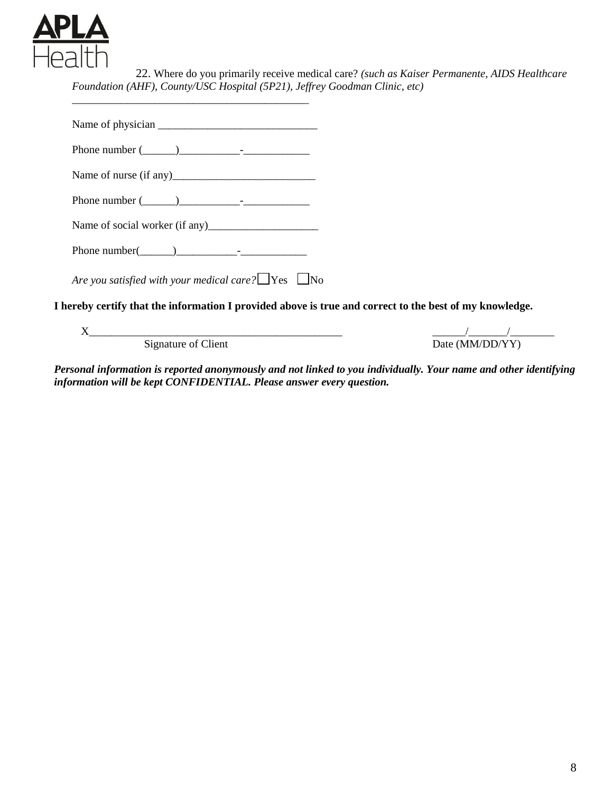

22. Where do you primarily receive medical care? *(such as Kaiser Permanente, AIDS Healthcare Foundation (AHF), County/USC Hospital (5P21), Jeffrey Goodman Clinic, etc)* 

Name of physician \_\_\_\_\_\_\_\_\_\_\_\_\_\_\_\_\_\_\_\_\_\_\_\_\_\_\_\_\_ Phone number  $(\_\_)$ Name of nurse (if any)\_\_\_\_\_\_\_\_\_\_\_\_\_\_\_\_\_\_\_\_\_\_\_\_\_\_ Phone number  $(\_\_)$ Name of social worker (if any)\_\_\_\_\_\_\_\_\_\_\_\_\_\_\_\_\_\_\_\_ Phone number( $\qquad$ *Are you satisfied with your medical care?* ❐Yes ❐No **I hereby certify that the information I provided above is true and correct to the best of my knowledge.**

*\_\_\_\_\_\_\_\_\_\_\_\_\_\_\_\_\_\_\_\_\_\_\_\_\_\_\_\_\_\_\_\_\_\_\_\_\_\_\_\_\_\_\_*

X\_\_\_\_\_\_\_\_\_\_\_\_\_\_\_\_\_\_\_\_\_\_\_\_\_\_\_\_\_\_\_\_\_\_\_\_\_\_\_\_\_\_\_\_\_\_ \_\_\_\_\_\_/\_\_\_\_\_\_\_/\_\_\_\_\_\_\_\_ Signature of Client Date (MM/DD/YY)

*Personal information is reported anonymously and not linked to you individually. Your name and other identifying information will be kept CONFIDENTIAL. Please answer every question.*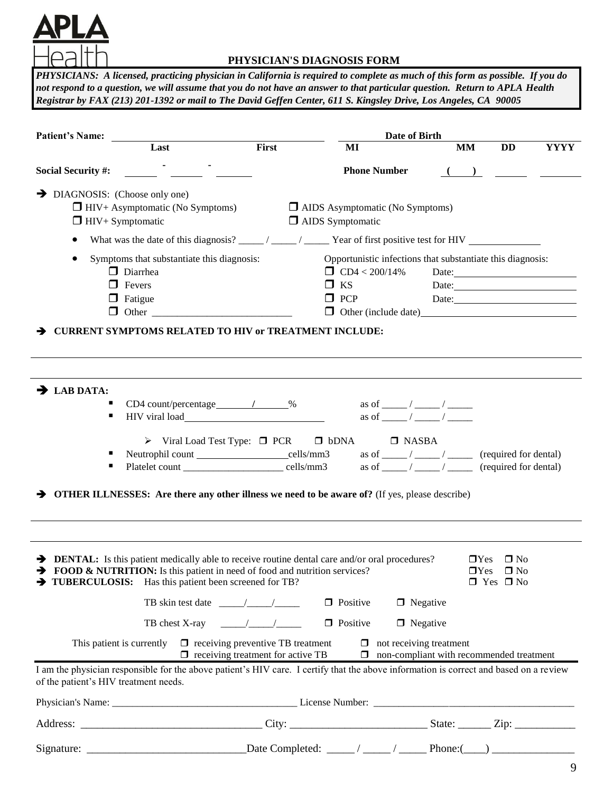

### **PHYSICIAN'S DIAGNOSIS FORM**

*PHYSICIANS: A licensed, practicing physician in California is required to complete as much of this form as possible. If you do not respond to a question, we will assume that you do not have an answer to that particular question. Return to APLA Health Registrar by FAX (213) 201-1392 or mail to The David Geffen Center, 611 S. Kingsley Drive, Los Angeles, CA 90005*

| <b>Patient's Name:</b>                                                                                                                                                                                                                                                               | Date of Birth                                                                                                                                                                                         |
|--------------------------------------------------------------------------------------------------------------------------------------------------------------------------------------------------------------------------------------------------------------------------------------|-------------------------------------------------------------------------------------------------------------------------------------------------------------------------------------------------------|
| First<br>Last                                                                                                                                                                                                                                                                        | <b>DD</b><br><b>YYYY</b><br>MI<br><b>MM</b>                                                                                                                                                           |
| <b>Social Security #:</b>                                                                                                                                                                                                                                                            | <b>Phone Number</b>                                                                                                                                                                                   |
| $\rightarrow$ DIAGNOSIS: (Choose only one)<br>$\Box$ HIV+ Asymptomatic (No Symptoms)<br>$\Box$ HIV+ Symptomatic                                                                                                                                                                      | $\Box$ AIDS Asymptomatic (No Symptoms)<br>$\Box$ AIDS Symptomatic                                                                                                                                     |
|                                                                                                                                                                                                                                                                                      | What was the date of this diagnosis? ____/ ____/ _____ Year of first positive test for HIV                                                                                                            |
| Symptoms that substantiate this diagnosis:<br>$\Box$ Diarrhea<br>$\Box$ Fevers<br>$\Box$ Fatigue<br>$\Box$ Other<br><b>CURRENT SYMPTOMS RELATED TO HIV or TREATMENT INCLUDE:</b><br>→                                                                                                | Opportunistic infections that substantiate this diagnosis:<br>$\Box$ CD4 < 200/14%<br>Date: <u>Date:</u><br>$\Box$ KS<br>Date:<br>$\Box$ PCP<br>Other (include date)<br><u>D</u> Other (include date) |
| $\rightarrow$ LAB DATA:<br>$CD4 count/percentage$ / $\sqrt{ }$<br>HIV viral load<br>п                                                                                                                                                                                                | as of $\qquad \qquad /$                                                                                                                                                                               |
| $\triangleright$ Viral Load Test Type: $\Box$ PCR $\Box$ bDNA<br>Neutrophil count ________________________cells/mm3<br>Platelet count ___________________________ cells/mm3<br><b>OTHER ILLNESSES:</b> Are there any other illness we need to be aware of? (If yes, please describe) | $\Box$ NASBA<br>(required for dental)<br>(required for dental)                                                                                                                                        |
| <b>EXECUTE:</b> Is this patient medically able to receive routine dental care and/or oral procedures?<br>TOOD & NUTRITION: Is this patient in need of food and nutrition services?<br>TUBERCULOSIS: Has this patient been screened for TB?                                           | $\Box$ Yes<br>$\square$ No<br>$\Box$ Yes $\Box$ No<br>$\Box$ Yes $\Box$ No                                                                                                                            |
| TB skin test date $\frac{1}{\sqrt{1-\frac{1}{2}}}\left  \frac{1}{\sqrt{1-\frac{1}{2}}}\right $                                                                                                                                                                                       | $\Box$ Negative<br>$\Box$ Positive                                                                                                                                                                    |
| TB chest X-ray $\frac{\sqrt{1-\frac{1}{2}}}{\sqrt{1-\frac{1}{2}}}}$                                                                                                                                                                                                                  | $\Box$ Positive<br>$\Box$ Negative                                                                                                                                                                    |
| This patient is currently $\Box$ receiving preventive TB treatment<br>$\Box$ receiving treatment for active TB                                                                                                                                                                       | $\Box$ not receiving treatment<br>$\Box$ non-compliant with recommended treatment                                                                                                                     |
| I am the physician responsible for the above patient's HIV care. I certify that the above information is correct and based on a review<br>of the patient's HIV treatment needs.                                                                                                      |                                                                                                                                                                                                       |
|                                                                                                                                                                                                                                                                                      |                                                                                                                                                                                                       |
|                                                                                                                                                                                                                                                                                      |                                                                                                                                                                                                       |
|                                                                                                                                                                                                                                                                                      |                                                                                                                                                                                                       |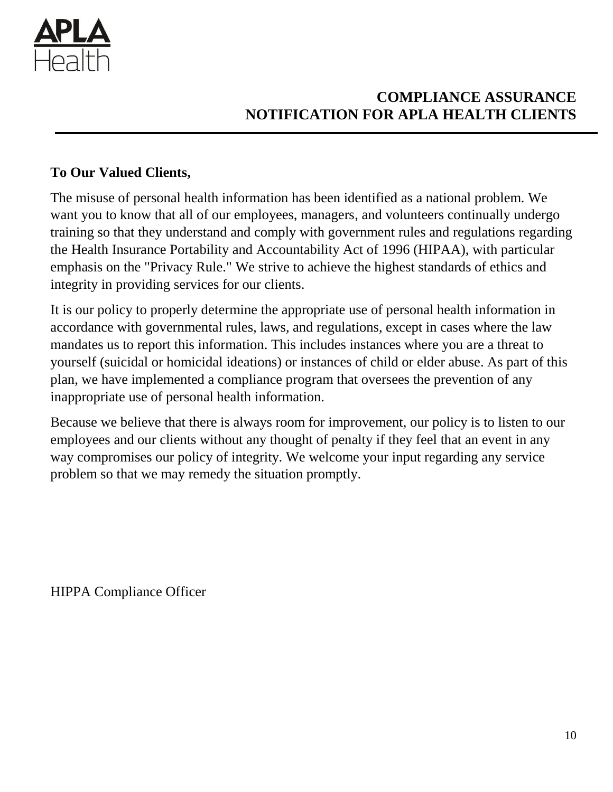

# **COMPLIANCE ASSURANCE NOTIFICATION FOR APLA HEALTH CLIENTS**

## **To Our Valued Clients,**

The misuse of personal health information has been identified as a national problem. We want you to know that all of our employees, managers, and volunteers continually undergo training so that they understand and comply with government rules and regulations regarding the Health Insurance Portability and Accountability Act of 1996 (HIPAA), with particular emphasis on the "Privacy Rule." We strive to achieve the highest standards of ethics and integrity in providing services for our clients.

It is our policy to properly determine the appropriate use of personal health information in accordance with governmental rules, laws, and regulations, except in cases where the law mandates us to report this information. This includes instances where you are a threat to yourself (suicidal or homicidal ideations) or instances of child or elder abuse. As part of this plan, we have implemented a compliance program that oversees the prevention of any inappropriate use of personal health information.

Because we believe that there is always room for improvement, our policy is to listen to our employees and our clients without any thought of penalty if they feel that an event in any way compromises our policy of integrity. We welcome your input regarding any service problem so that we may remedy the situation promptly.

HIPPA Compliance Officer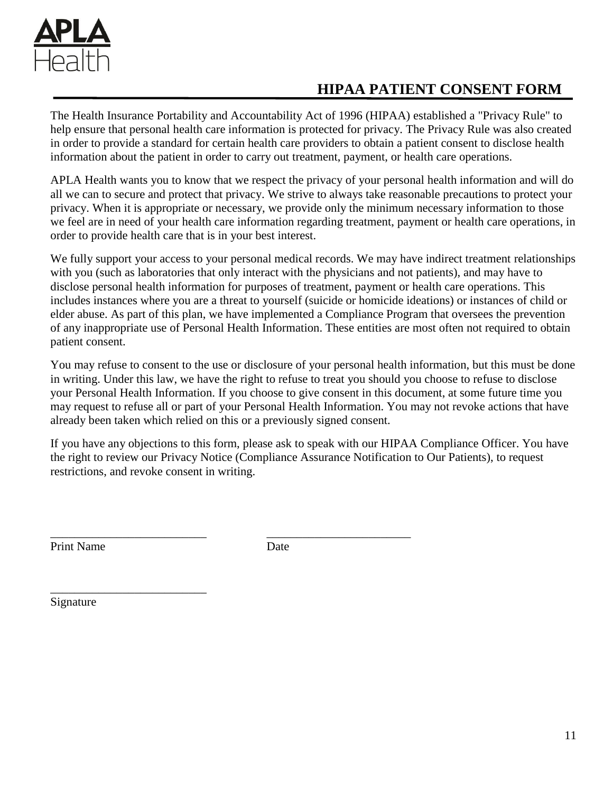

# **HIPAA PATIENT CONSENT FORM**

The Health Insurance Portability and Accountability Act of 1996 (HIPAA) established a "Privacy Rule" to help ensure that personal health care information is protected for privacy. The Privacy Rule was also created in order to provide a standard for certain health care providers to obtain a patient consent to disclose health information about the patient in order to carry out treatment, payment, or health care operations.

APLA Health wants you to know that we respect the privacy of your personal health information and will do all we can to secure and protect that privacy. We strive to always take reasonable precautions to protect your privacy. When it is appropriate or necessary, we provide only the minimum necessary information to those we feel are in need of your health care information regarding treatment, payment or health care operations, in order to provide health care that is in your best interest.

We fully support your access to your personal medical records. We may have indirect treatment relationships with you (such as laboratories that only interact with the physicians and not patients), and may have to disclose personal health information for purposes of treatment, payment or health care operations. This includes instances where you are a threat to yourself (suicide or homicide ideations) or instances of child or elder abuse. As part of this plan, we have implemented a Compliance Program that oversees the prevention of any inappropriate use of Personal Health Information. These entities are most often not required to obtain patient consent.

You may refuse to consent to the use or disclosure of your personal health information, but this must be done in writing. Under this law, we have the right to refuse to treat you should you choose to refuse to disclose your Personal Health Information. If you choose to give consent in this document, at some future time you may request to refuse all or part of your Personal Health Information. You may not revoke actions that have already been taken which relied on this or a previously signed consent.

If you have any objections to this form, please ask to speak with our HIPAA Compliance Officer. You have the right to review our Privacy Notice (Compliance Assurance Notification to Our Patients), to request restrictions, and revoke consent in writing.

Print Name Date

\_\_\_\_\_\_\_\_\_\_\_\_\_\_\_\_\_\_\_\_\_\_\_\_\_\_ \_\_\_\_\_\_\_\_\_\_\_\_\_\_\_\_\_\_\_\_\_\_\_\_

Signature

\_\_\_\_\_\_\_\_\_\_\_\_\_\_\_\_\_\_\_\_\_\_\_\_\_\_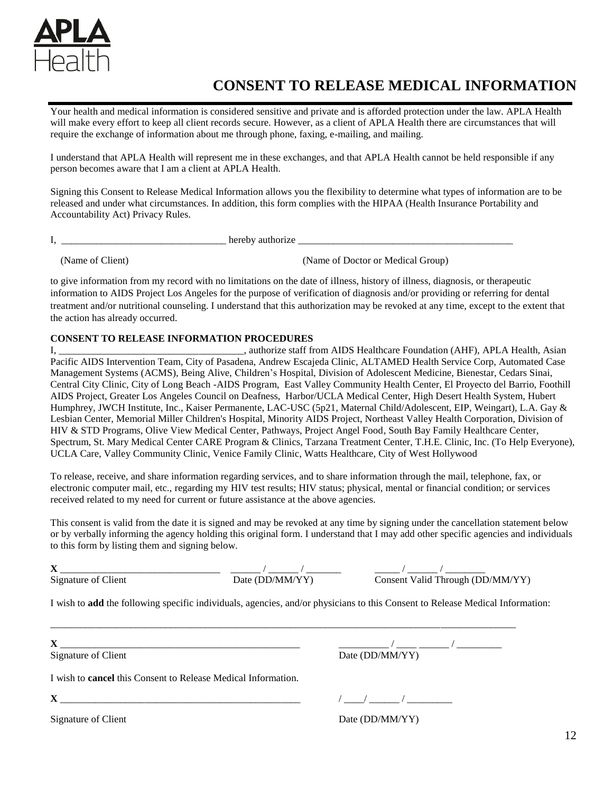

## **CONSENT TO RELEASE MEDICAL INFORMATION**

Your health and medical information is considered sensitive and private and is afforded protection under the law. APLA Health will make every effort to keep all client records secure. However, as a client of APLA Health there are circumstances that will require the exchange of information about me through phone, faxing, e-mailing, and mailing.

I understand that APLA Health will represent me in these exchanges, and that APLA Health cannot be held responsible if any person becomes aware that I am a client at APLA Health.

Signing this Consent to Release Medical Information allows you the flexibility to determine what types of information are to be released and under what circumstances. In addition, this form complies with the HIPAA (Health Insurance Portability and Accountability Act) Privacy Rules.

I, \_\_\_\_\_\_\_\_\_\_\_\_\_\_\_\_\_\_\_\_\_\_\_\_\_\_\_\_\_\_\_\_\_ hereby authorize \_\_\_\_\_\_\_\_\_\_\_\_\_\_\_\_\_\_\_\_\_\_\_\_\_\_\_\_\_\_\_\_\_\_\_\_\_\_\_\_\_\_\_

(Name of Client) (Name of Doctor or Medical Group)

to give information from my record with no limitations on the date of illness, history of illness, diagnosis, or therapeutic information to AIDS Project Los Angeles for the purpose of verification of diagnosis and/or providing or referring for dental treatment and/or nutritional counseling. I understand that this authorization may be revoked at any time, except to the extent that the action has already occurred.

#### **CONSENT TO RELEASE INFORMATION PROCEDURES**

I, \_\_\_\_\_\_\_\_\_\_\_\_\_\_\_\_\_\_\_\_\_\_\_\_\_\_\_\_\_\_\_\_\_\_\_\_\_, authorize staff from AIDS Healthcare Foundation (AHF), APLA Health, Asian Pacific AIDS Intervention Team, City of Pasadena, Andrew Escajeda Clinic, ALTAMED Health Service Corp, Automated Case Management Systems (ACMS), Being Alive, Children's Hospital, Division of Adolescent Medicine, Bienestar, Cedars Sinai, Central City Clinic, City of Long Beach -AIDS Program, East Valley Community Health Center, El Proyecto del Barrio, Foothill AIDS Project, Greater Los Angeles Council on Deafness, Harbor/UCLA Medical Center, High Desert Health System, Hubert Humphrey, JWCH Institute, Inc., Kaiser Permanente, LAC-USC (5p21, Maternal Child/Adolescent, EIP, Weingart), L.A. Gay & Lesbian Center, Memorial Miller Children's Hospital, Minority AIDS Project, Northeast Valley Health Corporation, Division of HIV & STD Programs, Olive View Medical Center, Pathways, Project Angel Food, South Bay Family Healthcare Center, Spectrum, St. Mary Medical Center CARE Program & Clinics, Tarzana Treatment Center, T.H.E. Clinic, Inc. (To Help Everyone), UCLA Care, Valley Community Clinic, Venice Family Clinic, Watts Healthcare, City of West Hollywood

To release, receive, and share information regarding services, and to share information through the mail, telephone, fax, or electronic computer mail, etc., regarding my HIV test results; HIV status; physical, mental or financial condition; or services received related to my need for current or future assistance at the above agencies.

This consent is valid from the date it is signed and may be revoked at any time by signing under the cancellation statement below or by verbally informing the agency holding this original form. I understand that I may add other specific agencies and individuals to this form by listing them and signing below.

\_\_\_\_\_\_\_\_\_\_\_\_\_\_\_\_\_\_\_\_\_\_\_\_\_\_\_\_\_\_\_\_\_\_\_\_\_\_\_\_\_\_\_\_\_\_\_\_\_\_\_\_\_\_\_\_\_\_\_\_\_\_\_\_\_\_\_\_\_\_\_\_\_\_\_\_\_\_\_\_\_\_\_\_\_\_\_\_\_\_\_\_\_

**X** \_\_\_\_\_\_\_\_\_\_\_\_\_\_\_\_\_\_\_\_\_\_\_\_\_\_\_\_\_\_\_\_ \_\_\_\_\_\_ / \_\_\_\_\_\_ / \_\_\_\_\_\_\_ \_\_\_\_\_ / \_\_\_\_\_\_ / \_\_\_\_\_\_\_\_ Signature of Client Date (DD/MM/YY) Consent Valid Through (DD/MM/YY)

I wish to **add** the following specific individuals, agencies, and/or physicians to this Consent to Release Medical Information:

Signature of Client Date (DD/MM/YY)

**X** \_\_\_\_\_\_\_\_\_\_\_\_\_\_\_\_\_\_\_\_\_\_\_\_\_\_\_\_\_\_\_\_\_\_\_\_\_\_\_\_\_\_\_\_\_\_\_\_ \_\_\_\_\_\_\_\_\_\_ / \_\_\_\_ \_\_\_\_\_\_ / \_\_\_\_\_\_\_\_\_

I wish to **cancel** this Consent to Release Medical Information.

**X** \_\_\_\_\_\_\_\_\_\_\_\_\_\_\_\_\_\_\_\_\_\_\_\_\_\_\_\_\_\_\_\_\_\_\_\_\_\_\_\_\_\_\_\_\_\_\_\_ / \_\_\_\_/ \_\_\_\_\_\_ / \_\_\_\_\_\_\_\_\_

Signature of Client Date (DD/MM/YY)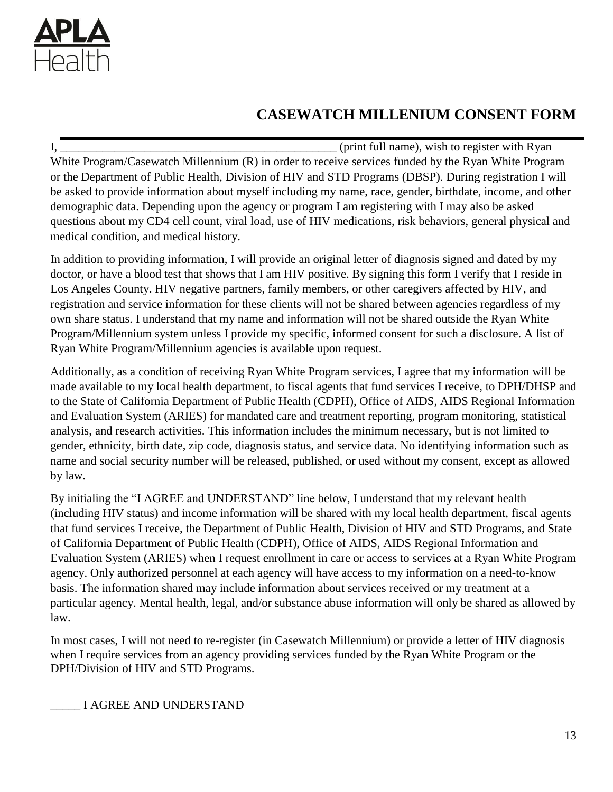

# **CASEWATCH MILLENIUM CONSENT FORM**

I, the same of the same of the same of the same of the same of the same of the same of the same of the same of the same of the same of the same of the same of the same of the same of the same of the same of the same of the White Program/Casewatch Millennium (R) in order to receive services funded by the Ryan White Program or the Department of Public Health, Division of HIV and STD Programs (DBSP). During registration I will be asked to provide information about myself including my name, race, gender, birthdate, income, and other demographic data. Depending upon the agency or program I am registering with I may also be asked questions about my CD4 cell count, viral load, use of HIV medications, risk behaviors, general physical and medical condition, and medical history.

In addition to providing information, I will provide an original letter of diagnosis signed and dated by my doctor, or have a blood test that shows that I am HIV positive. By signing this form I verify that I reside in Los Angeles County. HIV negative partners, family members, or other caregivers affected by HIV, and registration and service information for these clients will not be shared between agencies regardless of my own share status. I understand that my name and information will not be shared outside the Ryan White Program/Millennium system unless I provide my specific, informed consent for such a disclosure. A list of Ryan White Program/Millennium agencies is available upon request.

Additionally, as a condition of receiving Ryan White Program services, I agree that my information will be made available to my local health department, to fiscal agents that fund services I receive, to DPH/DHSP and to the State of California Department of Public Health (CDPH), Office of AIDS, AIDS Regional Information and Evaluation System (ARIES) for mandated care and treatment reporting, program monitoring, statistical analysis, and research activities. This information includes the minimum necessary, but is not limited to gender, ethnicity, birth date, zip code, diagnosis status, and service data. No identifying information such as name and social security number will be released, published, or used without my consent, except as allowed by law.

By initialing the "I AGREE and UNDERSTAND" line below, I understand that my relevant health (including HIV status) and income information will be shared with my local health department, fiscal agents that fund services I receive, the Department of Public Health, Division of HIV and STD Programs, and State of California Department of Public Health (CDPH), Office of AIDS, AIDS Regional Information and Evaluation System (ARIES) when I request enrollment in care or access to services at a Ryan White Program agency. Only authorized personnel at each agency will have access to my information on a need-to-know basis. The information shared may include information about services received or my treatment at a particular agency. Mental health, legal, and/or substance abuse information will only be shared as allowed by law.

In most cases, I will not need to re-register (in Casewatch Millennium) or provide a letter of HIV diagnosis when I require services from an agency providing services funded by the Ryan White Program or the DPH/Division of HIV and STD Programs.

\_\_\_\_\_ I AGREE AND UNDERSTAND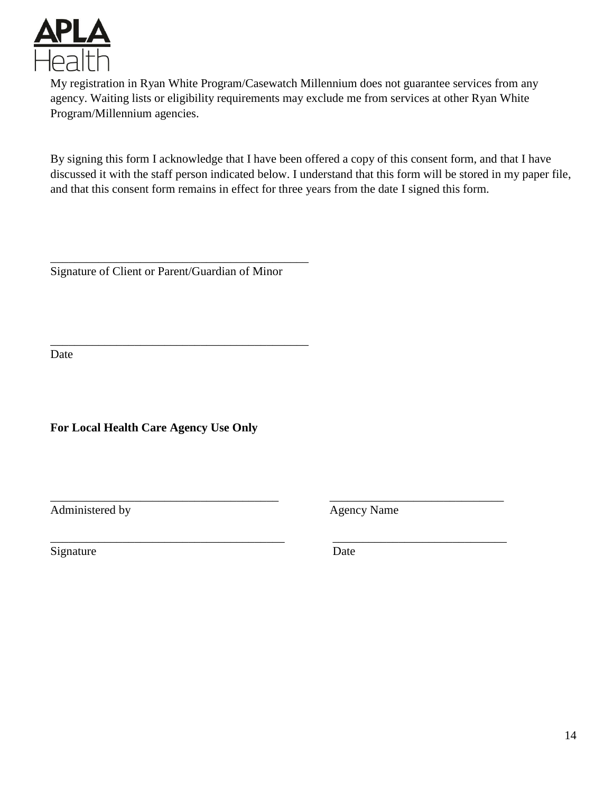

My registration in Ryan White Program/Casewatch Millennium does not guarantee services from any agency. Waiting lists or eligibility requirements may exclude me from services at other Ryan White Program/Millennium agencies.

By signing this form I acknowledge that I have been offered a copy of this consent form, and that I have discussed it with the staff person indicated below. I understand that this form will be stored in my paper file, and that this consent form remains in effect for three years from the date I signed this form.

Signature of Client or Parent/Guardian of Minor

\_\_\_\_\_\_\_\_\_\_\_\_\_\_\_\_\_\_\_\_\_\_\_\_\_\_\_\_\_\_\_\_\_\_\_\_\_\_\_\_\_\_\_

\_\_\_\_\_\_\_\_\_\_\_\_\_\_\_\_\_\_\_\_\_\_\_\_\_\_\_\_\_\_\_\_\_\_\_\_\_\_\_\_\_\_\_

Date

**For Local Health Care Agency Use Only**

Administered by Agency Name

Signature Date

\_\_\_\_\_\_\_\_\_\_\_\_\_\_\_\_\_\_\_\_\_\_\_\_\_\_\_\_\_\_\_\_\_\_\_\_\_\_ \_\_\_\_\_\_\_\_\_\_\_\_\_\_\_\_\_\_\_\_\_\_\_\_\_\_\_\_\_

\_\_\_\_\_\_\_\_\_\_\_\_\_\_\_\_\_\_\_\_\_\_\_\_\_\_\_\_\_\_\_\_\_\_\_\_\_\_\_ \_\_\_\_\_\_\_\_\_\_\_\_\_\_\_\_\_\_\_\_\_\_\_\_\_\_\_\_\_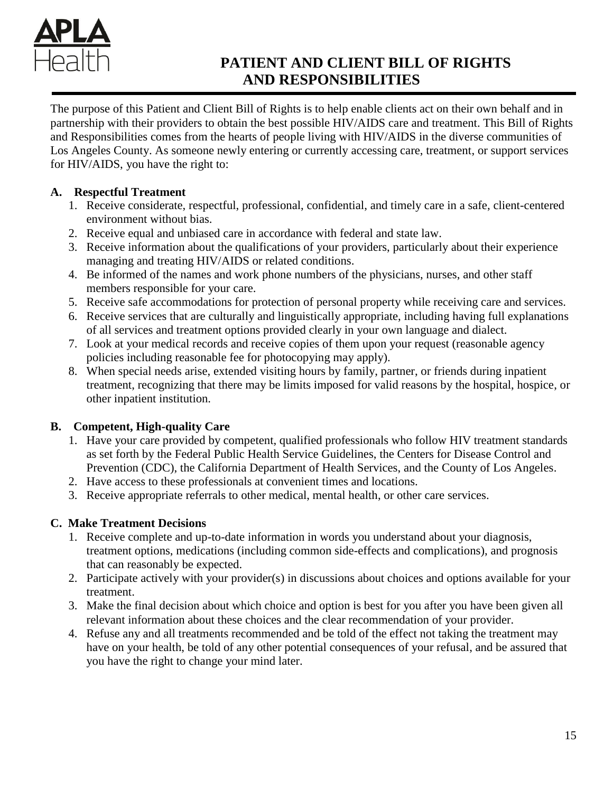

# **PATIENT AND CLIENT BILL OF RIGHTS AND RESPONSIBILITIES**

The purpose of this Patient and Client Bill of Rights is to help enable clients act on their own behalf and in partnership with their providers to obtain the best possible HIV/AIDS care and treatment. This Bill of Rights and Responsibilities comes from the hearts of people living with HIV/AIDS in the diverse communities of Los Angeles County. As someone newly entering or currently accessing care, treatment, or support services for HIV/AIDS, you have the right to:

## **A. Respectful Treatment**

- 1. Receive considerate, respectful, professional, confidential, and timely care in a safe, client-centered environment without bias.
- 2. Receive equal and unbiased care in accordance with federal and state law.
- 3. Receive information about the qualifications of your providers, particularly about their experience managing and treating HIV/AIDS or related conditions.
- 4. Be informed of the names and work phone numbers of the physicians, nurses, and other staff members responsible for your care.
- 5. Receive safe accommodations for protection of personal property while receiving care and services.
- 6. Receive services that are culturally and linguistically appropriate, including having full explanations of all services and treatment options provided clearly in your own language and dialect.
- 7. Look at your medical records and receive copies of them upon your request (reasonable agency policies including reasonable fee for photocopying may apply).
- 8. When special needs arise, extended visiting hours by family, partner, or friends during inpatient treatment, recognizing that there may be limits imposed for valid reasons by the hospital, hospice, or other inpatient institution.

## **B. Competent, High-quality Care**

- 1. Have your care provided by competent, qualified professionals who follow HIV treatment standards as set forth by the Federal Public Health Service Guidelines, the Centers for Disease Control and Prevention (CDC), the California Department of Health Services, and the County of Los Angeles.
- 2. Have access to these professionals at convenient times and locations.
- 3. Receive appropriate referrals to other medical, mental health, or other care services.

## **C. Make Treatment Decisions**

- 1. Receive complete and up-to-date information in words you understand about your diagnosis, treatment options, medications (including common side-effects and complications), and prognosis that can reasonably be expected.
- 2. Participate actively with your provider(s) in discussions about choices and options available for your treatment.
- 3. Make the final decision about which choice and option is best for you after you have been given all relevant information about these choices and the clear recommendation of your provider.
- 4. Refuse any and all treatments recommended and be told of the effect not taking the treatment may have on your health, be told of any other potential consequences of your refusal, and be assured that you have the right to change your mind later.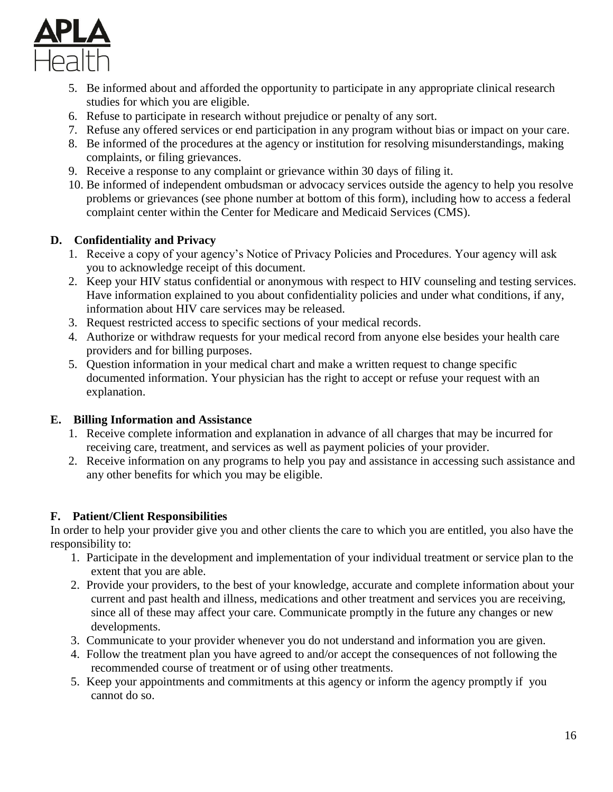

- 5. Be informed about and afforded the opportunity to participate in any appropriate clinical research studies for which you are eligible.
- 6. Refuse to participate in research without prejudice or penalty of any sort.
- 7. Refuse any offered services or end participation in any program without bias or impact on your care.
- 8. Be informed of the procedures at the agency or institution for resolving misunderstandings, making complaints, or filing grievances.
- 9. Receive a response to any complaint or grievance within 30 days of filing it.
- 10. Be informed of independent ombudsman or advocacy services outside the agency to help you resolve problems or grievances (see phone number at bottom of this form), including how to access a federal complaint center within the Center for Medicare and Medicaid Services (CMS).

## **D. Confidentiality and Privacy**

- 1. Receive a copy of your agency's Notice of Privacy Policies and Procedures. Your agency will ask you to acknowledge receipt of this document.
- 2. Keep your HIV status confidential or anonymous with respect to HIV counseling and testing services. Have information explained to you about confidentiality policies and under what conditions, if any, information about HIV care services may be released.
- 3. Request restricted access to specific sections of your medical records.
- 4. Authorize or withdraw requests for your medical record from anyone else besides your health care providers and for billing purposes.
- 5. Question information in your medical chart and make a written request to change specific documented information. Your physician has the right to accept or refuse your request with an explanation.

## **E. Billing Information and Assistance**

- 1. Receive complete information and explanation in advance of all charges that may be incurred for receiving care, treatment, and services as well as payment policies of your provider.
- 2. Receive information on any programs to help you pay and assistance in accessing such assistance and any other benefits for which you may be eligible.

## **F. Patient/Client Responsibilities**

In order to help your provider give you and other clients the care to which you are entitled, you also have the responsibility to:

- 1. Participate in the development and implementation of your individual treatment or service plan to the extent that you are able.
- 2. Provide your providers, to the best of your knowledge, accurate and complete information about your current and past health and illness, medications and other treatment and services you are receiving, since all of these may affect your care. Communicate promptly in the future any changes or new developments.
- 3. Communicate to your provider whenever you do not understand and information you are given.
- 4. Follow the treatment plan you have agreed to and/or accept the consequences of not following the recommended course of treatment or of using other treatments.
- 5. Keep your appointments and commitments at this agency or inform the agency promptly if you cannot do so.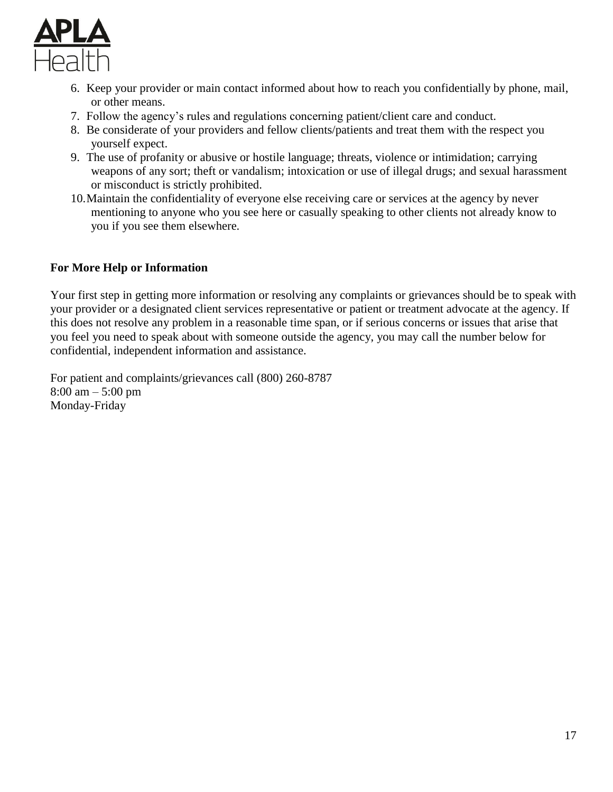

- 6. Keep your provider or main contact informed about how to reach you confidentially by phone, mail, or other means.
- 7. Follow the agency's rules and regulations concerning patient/client care and conduct.
- 8. Be considerate of your providers and fellow clients/patients and treat them with the respect you yourself expect.
- 9. The use of profanity or abusive or hostile language; threats, violence or intimidation; carrying weapons of any sort; theft or vandalism; intoxication or use of illegal drugs; and sexual harassment or misconduct is strictly prohibited.
- 10.Maintain the confidentiality of everyone else receiving care or services at the agency by never mentioning to anyone who you see here or casually speaking to other clients not already know to you if you see them elsewhere.

## **For More Help or Information**

Your first step in getting more information or resolving any complaints or grievances should be to speak with your provider or a designated client services representative or patient or treatment advocate at the agency. If this does not resolve any problem in a reasonable time span, or if serious concerns or issues that arise that you feel you need to speak about with someone outside the agency, you may call the number below for confidential, independent information and assistance.

For patient and complaints/grievances call (800) 260-8787 8:00 am – 5:00 pm Monday-Friday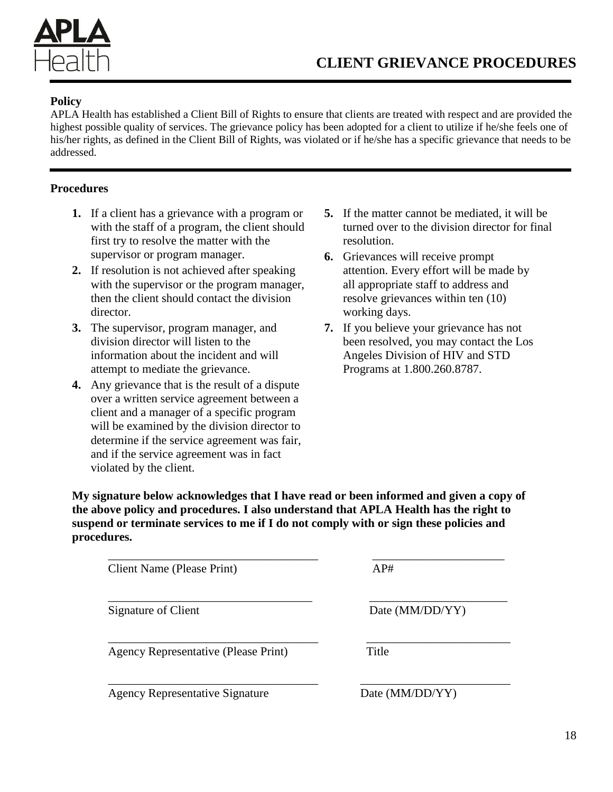

### **Policy**

APLA Health has established a Client Bill of Rights to ensure that clients are treated with respect and are provided the highest possible quality of services. The grievance policy has been adopted for a client to utilize if he/she feels one of his/her rights, as defined in the Client Bill of Rights, was violated or if he/she has a specific grievance that needs to be addressed.

### **Procedures**

- **1.** If a client has a grievance with a program or with the staff of a program, the client should first try to resolve the matter with the supervisor or program manager.
- **2.** If resolution is not achieved after speaking with the supervisor or the program manager, then the client should contact the division director.
- **3.** The supervisor, program manager, and division director will listen to the information about the incident and will attempt to mediate the grievance.
- **4.** Any grievance that is the result of a dispute over a written service agreement between a client and a manager of a specific program will be examined by the division director to determine if the service agreement was fair, and if the service agreement was in fact violated by the client.
- **5.** If the matter cannot be mediated, it will be turned over to the division director for final resolution.
- **6.** Grievances will receive prompt attention. Every effort will be made by all appropriate staff to address and resolve grievances within ten (10) working days.
- **7.** If you believe your grievance has not been resolved, you may contact the Los Angeles Division of HIV and STD Programs at 1.800.260.8787.

**My signature below acknowledges that I have read or been informed and given a copy of the above policy and procedures. I also understand that APLA Health has the right to suspend or terminate services to me if I do not comply with or sign these policies and procedures.**

\_\_\_\_\_\_\_\_\_\_\_\_\_\_\_\_\_\_\_\_\_\_\_\_\_\_\_\_\_\_\_\_\_\_\_ \_\_\_\_\_\_\_\_\_\_\_\_\_\_\_\_\_\_\_\_\_\_

\_\_\_\_\_\_\_\_\_\_\_\_\_\_\_\_\_\_\_\_\_\_\_\_\_\_\_\_\_\_\_\_\_\_ \_\_\_\_\_\_\_\_\_\_\_\_\_\_\_\_\_\_\_\_\_\_\_

\_\_\_\_\_\_\_\_\_\_\_\_\_\_\_\_\_\_\_\_\_\_\_\_\_\_\_\_\_\_\_\_\_\_\_ \_\_\_\_\_\_\_\_\_\_\_\_\_\_\_\_\_\_\_\_\_\_\_\_

\_\_\_\_\_\_\_\_\_\_\_\_\_\_\_\_\_\_\_\_\_\_\_\_\_\_\_\_\_\_\_\_\_\_\_ \_\_\_\_\_\_\_\_\_\_\_\_\_\_\_\_\_\_\_\_\_\_\_\_\_

| Client Name (Please Print) | AP# |
|----------------------------|-----|
|                            |     |

Agency Representative (Please Print) Title

Agency Representative Signature Date (MM/DD/YY)

Signature of Client Date (MM/DD/YY)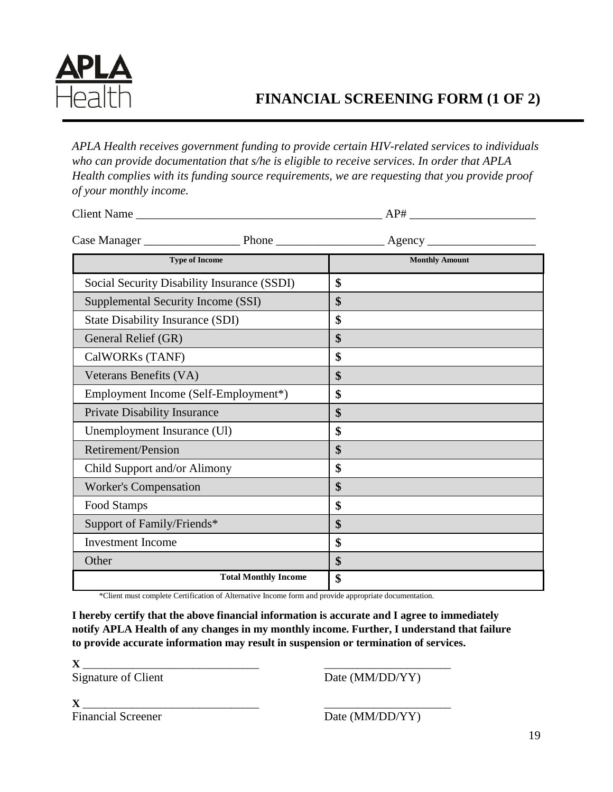

# **FINANCIAL SCREENING FORM (1 OF 2)**

*APLA Health receives government funding to provide certain HIV-related services to individuals who can provide documentation that s/he is eligible to receive services. In order that APLA Health complies with its funding source requirements, we are requesting that you provide proof of your monthly income.*

| Client Name                                 | AP#                   |
|---------------------------------------------|-----------------------|
|                                             |                       |
| <b>Type of Income</b>                       | <b>Monthly Amount</b> |
| Social Security Disability Insurance (SSDI) | \$                    |
| Supplemental Security Income (SSI)          | \$                    |
| <b>State Disability Insurance (SDI)</b>     | \$                    |
| General Relief (GR)                         | \$                    |
| CalWORKs (TANF)                             | \$                    |
| Veterans Benefits (VA)                      | \$                    |
| Employment Income (Self-Employment*)        | \$                    |
| <b>Private Disability Insurance</b>         | \$                    |
| Unemployment Insurance (UI)                 | \$                    |
| Retirement/Pension                          | \$                    |
| Child Support and/or Alimony                | \$                    |
| <b>Worker's Compensation</b>                | \$                    |
| Food Stamps                                 | \$                    |
| Support of Family/Friends*                  | $\boldsymbol{\$}$     |
| <b>Investment Income</b>                    | \$                    |
| Other                                       | \$                    |
| <b>Total Monthly Income</b>                 | \$                    |

\*Client must complete Certification of Alternative Income form and provide appropriate documentation.

**I hereby certify that the above financial information is accurate and I agree to immediately notify APLA Health of any changes in my monthly income. Further, I understand that failure to provide accurate information may result in suspension or termination of services.**

**X** \_\_\_\_\_\_\_\_\_\_\_\_\_\_\_\_\_\_\_\_\_\_\_\_\_\_\_\_\_\_\_\_ \_\_\_\_\_\_\_\_\_\_\_\_\_\_\_\_\_\_\_\_\_\_\_

Signature of Client Date (MM/DD/YY)

| $\mathbf{x}$<br>Δ         |                 |
|---------------------------|-----------------|
| <b>Financial Screener</b> | Date (MM/DD/YY) |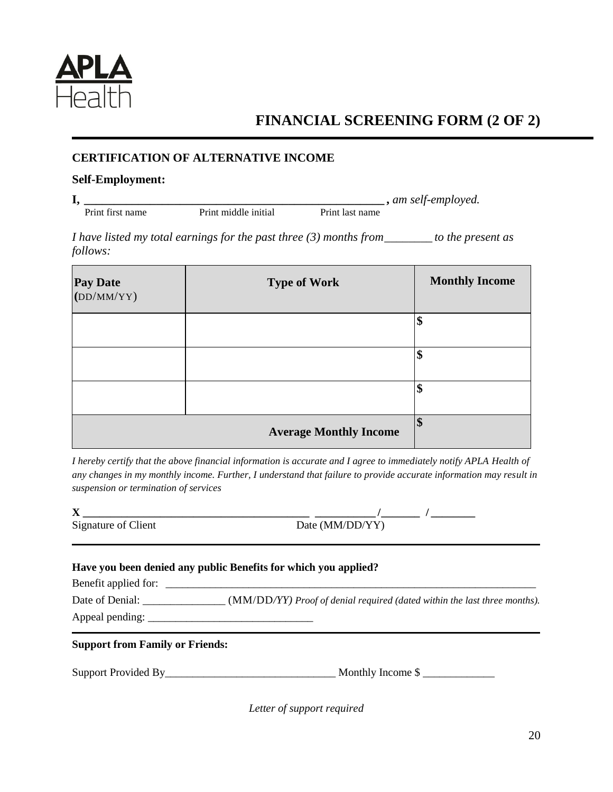

# **FINANCIAL SCREENING FORM (2 OF 2)**

## **CERTIFICATION OF ALTERNATIVE INCOME**

### **Self-Employment:**

**I, \_\_\_\_\_\_\_\_\_\_\_\_\_\_\_\_\_\_\_\_\_\_\_\_\_\_\_\_\_\_\_\_\_\_\_\_\_\_\_\_\_\_\_\_\_\_\_\_\_\_ ,** *am self-employed.* Print middle initial

*I have listed my total earnings for the past three (3) months from\_\_\_\_\_\_\_\_ to the present as follows:*

| Pay Date<br>(DD/MM/YY) | <b>Type of Work</b>           | <b>Monthly Income</b> |
|------------------------|-------------------------------|-----------------------|
|                        |                               | \$                    |
|                        |                               | \$                    |
|                        |                               | \$                    |
|                        | <b>Average Monthly Income</b> | \$                    |

*I hereby certify that the above financial information is accurate and I agree to immediately notify APLA Health of any changes in my monthly income. Further, I understand that failure to provide accurate information may result in suspension or termination of services*

| $\Lambda$           |                 |
|---------------------|-----------------|
| Signature of Client | Date (MM/DD/YY) |

### **Have you been denied any public Benefits for which you applied?**

Benefit applied for:

Date of Denial:  $(MM/DD/YY)$  *Proof of denial required (dated within the last three months).* Appeal pending: \_\_\_\_\_\_\_\_\_\_\_\_\_\_\_\_\_\_\_\_\_\_\_\_\_\_\_\_\_\_

**Support from Family or Friends:**

Support Provided By\_\_\_\_\_\_\_\_\_\_\_\_\_\_\_\_\_\_\_\_\_\_\_\_\_\_\_\_\_\_\_ Monthly Income \$ \_\_\_\_\_\_\_\_\_\_\_\_\_

*Letter of support required*